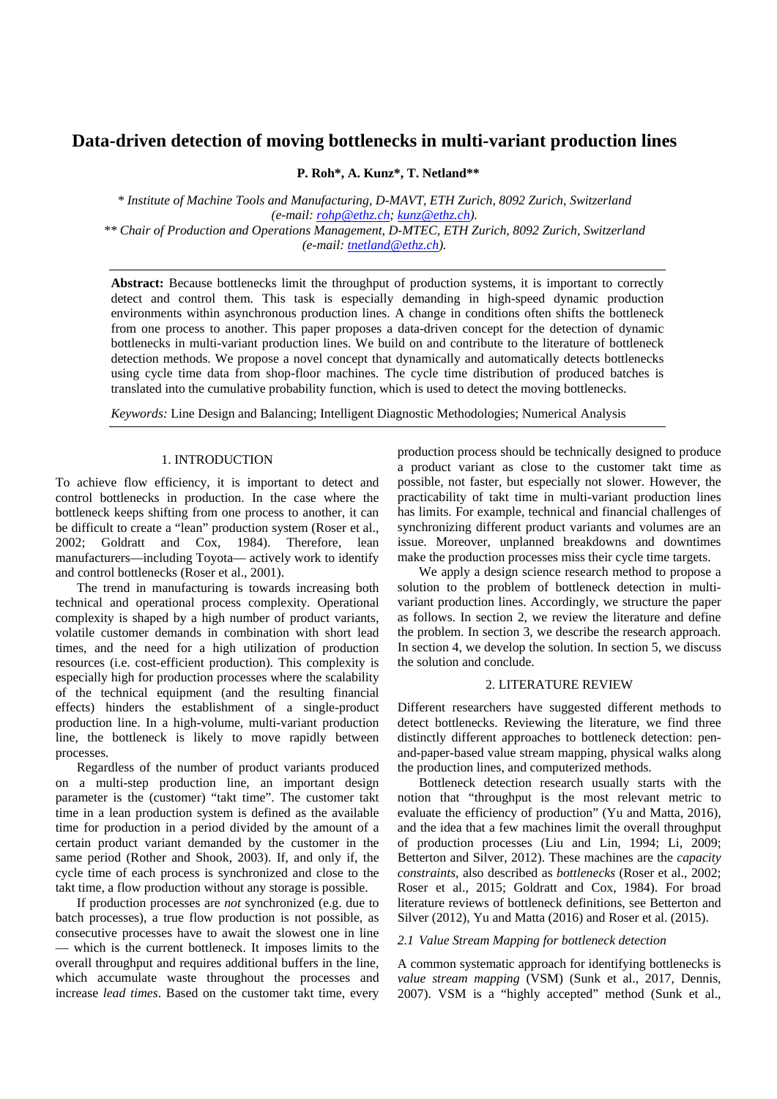# **Data-driven detection of moving bottlenecks in multi-variant production lines**

**P. Roh\*, A. Kunz\*, T. Netland\*\*** 

*\* Institute of Machine Tools and Manufacturing, D-MAVT, ETH Zurich, 8092 Zurich, Switzerland (e-mail: rohp@ethz.ch; kunz@ethz.ch). \*\* Chair of Production and Operations Management, D-MTEC, ETH Zurich, 8092 Zurich, Switzerland (e-mail: tnetland@ethz.ch).* 

**Abstract:** Because bottlenecks limit the throughput of production systems, it is important to correctly detect and control them. This task is especially demanding in high-speed dynamic production environments within asynchronous production lines. A change in conditions often shifts the bottleneck from one process to another. This paper proposes a data-driven concept for the detection of dynamic bottlenecks in multi-variant production lines. We build on and contribute to the literature of bottleneck detection methods. We propose a novel concept that dynamically and automatically detects bottlenecks using cycle time data from shop-floor machines. The cycle time distribution of produced batches is translated into the cumulative probability function, which is used to detect the moving bottlenecks.

*Keywords:* Line Design and Balancing; Intelligent Diagnostic Methodologies; Numerical Analysis

## 1. INTRODUCTION

To achieve flow efficiency, it is important to detect and control bottlenecks in production. In the case where the bottleneck keeps shifting from one process to another, it can be difficult to create a "lean" production system (Roser et al., 2002; Goldratt and Cox, 1984). Therefore, lean manufacturers—including Toyota— actively work to identify and control bottlenecks (Roser et al., 2001).

 The trend in manufacturing is towards increasing both technical and operational process complexity. Operational complexity is shaped by a high number of product variants, volatile customer demands in combination with short lead times, and the need for a high utilization of production resources (i.e. cost-efficient production). This complexity is especially high for production processes where the scalability of the technical equipment (and the resulting financial effects) hinders the establishment of a single-product production line. In a high-volume, multi-variant production line, the bottleneck is likely to move rapidly between processes.

 Regardless of the number of product variants produced on a multi-step production line, an important design parameter is the (customer) "takt time". The customer takt time in a lean production system is defined as the available time for production in a period divided by the amount of a certain product variant demanded by the customer in the same period (Rother and Shook, 2003). If, and only if, the cycle time of each process is synchronized and close to the takt time, a flow production without any storage is possible.

 If production processes are *not* synchronized (e.g. due to batch processes), a true flow production is not possible, as consecutive processes have to await the slowest one in line which is the current bottleneck. It imposes limits to the overall throughput and requires additional buffers in the line, which accumulate waste throughout the processes and increase *lead times*. Based on the customer takt time, every

production process should be technically designed to produce a product variant as close to the customer takt time as possible, not faster, but especially not slower. However, the practicability of takt time in multi-variant production lines has limits. For example, technical and financial challenges of synchronizing different product variants and volumes are an issue. Moreover, unplanned breakdowns and downtimes make the production processes miss their cycle time targets.

 We apply a design science research method to propose a solution to the problem of bottleneck detection in multivariant production lines. Accordingly, we structure the paper as follows. In section 2, we review the literature and define the problem. In section 3, we describe the research approach. In section 4, we develop the solution. In section 5, we discuss the solution and conclude.

#### 2. LITERATURE REVIEW

Different researchers have suggested different methods to detect bottlenecks. Reviewing the literature, we find three distinctly different approaches to bottleneck detection: penand-paper-based value stream mapping, physical walks along the production lines, and computerized methods.

 Bottleneck detection research usually starts with the notion that "throughput is the most relevant metric to evaluate the efficiency of production" (Yu and Matta, 2016), and the idea that a few machines limit the overall throughput of production processes (Liu and Lin, 1994; Li, 2009; Betterton and Silver, 2012). These machines are the *capacity constraints*, also described as *bottlenecks* (Roser et al., 2002; Roser et al., 2015; Goldratt and Cox, 1984). For broad literature reviews of bottleneck definitions, see Betterton and Silver (2012), Yu and Matta (2016) and Roser et al. (2015).

# *2.1 Value Stream Mapping for bottleneck detection*

A common systematic approach for identifying bottlenecks is *value stream mapping* (VSM) (Sunk et al., 2017, Dennis, 2007). VSM is a "highly accepted" method (Sunk et al.,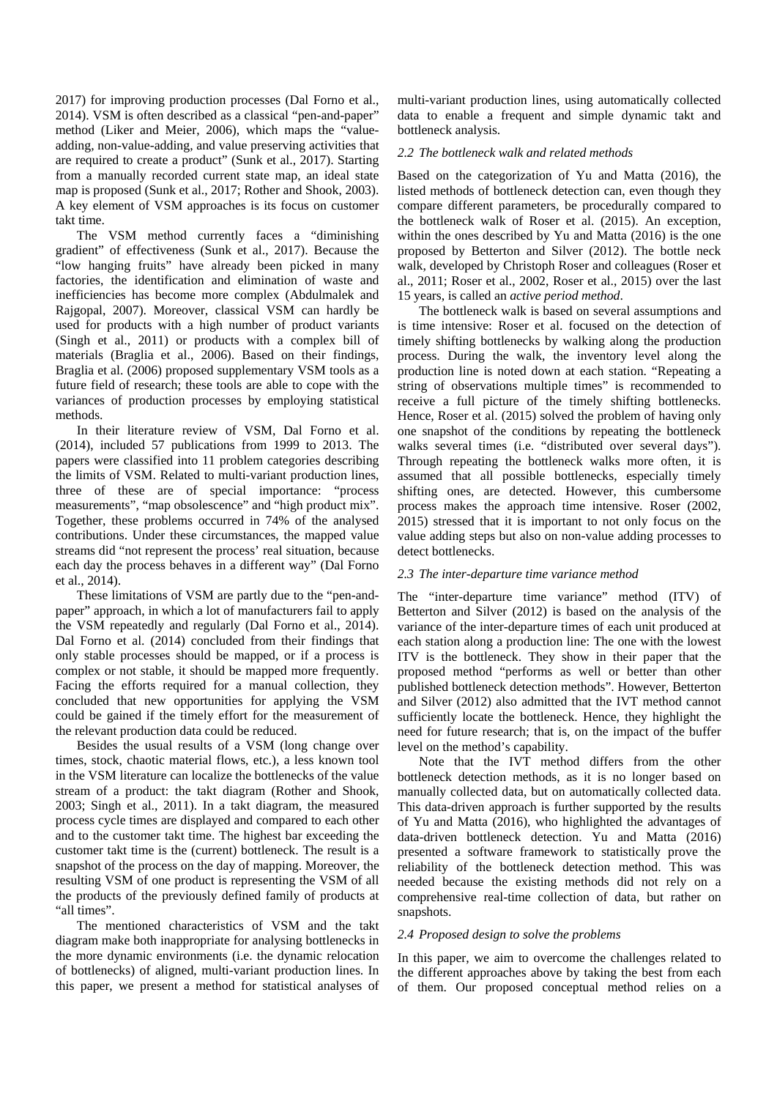2017) for improving production processes (Dal Forno et al., 2014). VSM is often described as a classical "pen-and-paper" method (Liker and Meier, 2006), which maps the "valueadding, non-value-adding, and value preserving activities that are required to create a product" (Sunk et al., 2017). Starting from a manually recorded current state map, an ideal state map is proposed (Sunk et al., 2017; Rother and Shook, 2003). A key element of VSM approaches is its focus on customer takt time.

 The VSM method currently faces a "diminishing gradient" of effectiveness (Sunk et al., 2017). Because the "low hanging fruits" have already been picked in many factories, the identification and elimination of waste and inefficiencies has become more complex (Abdulmalek and Rajgopal, 2007). Moreover, classical VSM can hardly be used for products with a high number of product variants (Singh et al., 2011) or products with a complex bill of materials (Braglia et al., 2006). Based on their findings, Braglia et al. (2006) proposed supplementary VSM tools as a future field of research; these tools are able to cope with the variances of production processes by employing statistical methods.

 In their literature review of VSM, Dal Forno et al. (2014), included 57 publications from 1999 to 2013. The papers were classified into 11 problem categories describing the limits of VSM. Related to multi-variant production lines, three of these are of special importance: "process measurements", "map obsolescence" and "high product mix". Together, these problems occurred in 74% of the analysed contributions. Under these circumstances, the mapped value streams did "not represent the process' real situation, because each day the process behaves in a different way" (Dal Forno et al., 2014).

 These limitations of VSM are partly due to the "pen-andpaper" approach, in which a lot of manufacturers fail to apply the VSM repeatedly and regularly (Dal Forno et al., 2014). Dal Forno et al. (2014) concluded from their findings that only stable processes should be mapped, or if a process is complex or not stable, it should be mapped more frequently. Facing the efforts required for a manual collection, they concluded that new opportunities for applying the VSM could be gained if the timely effort for the measurement of the relevant production data could be reduced.

 Besides the usual results of a VSM (long change over times, stock, chaotic material flows, etc.), a less known tool in the VSM literature can localize the bottlenecks of the value stream of a product: the takt diagram (Rother and Shook, 2003; Singh et al., 2011). In a takt diagram, the measured process cycle times are displayed and compared to each other and to the customer takt time. The highest bar exceeding the customer takt time is the (current) bottleneck. The result is a snapshot of the process on the day of mapping. Moreover, the resulting VSM of one product is representing the VSM of all the products of the previously defined family of products at "all times".

 The mentioned characteristics of VSM and the takt diagram make both inappropriate for analysing bottlenecks in the more dynamic environments (i.e. the dynamic relocation of bottlenecks) of aligned, multi-variant production lines. In this paper, we present a method for statistical analyses of multi-variant production lines, using automatically collected data to enable a frequent and simple dynamic takt and bottleneck analysis.

## *2.2 The bottleneck walk and related methods*

Based on the categorization of Yu and Matta (2016), the listed methods of bottleneck detection can, even though they compare different parameters, be procedurally compared to the bottleneck walk of Roser et al. (2015). An exception, within the ones described by Yu and Matta (2016) is the one proposed by Betterton and Silver (2012). The bottle neck walk, developed by Christoph Roser and colleagues (Roser et al., 2011; Roser et al., 2002, Roser et al., 2015) over the last 15 years, is called an *active period method*.

 The bottleneck walk is based on several assumptions and is time intensive: Roser et al. focused on the detection of timely shifting bottlenecks by walking along the production process. During the walk, the inventory level along the production line is noted down at each station. "Repeating a string of observations multiple times" is recommended to receive a full picture of the timely shifting bottlenecks. Hence, Roser et al. (2015) solved the problem of having only one snapshot of the conditions by repeating the bottleneck walks several times (i.e. "distributed over several days"). Through repeating the bottleneck walks more often, it is assumed that all possible bottlenecks, especially timely shifting ones, are detected. However, this cumbersome process makes the approach time intensive. Roser (2002, 2015) stressed that it is important to not only focus on the value adding steps but also on non-value adding processes to detect bottlenecks.

#### *2.3 The inter-departure time variance method*

The "inter-departure time variance" method (ITV) of Betterton and Silver (2012) is based on the analysis of the variance of the inter-departure times of each unit produced at each station along a production line: The one with the lowest ITV is the bottleneck. They show in their paper that the proposed method "performs as well or better than other published bottleneck detection methods". However, Betterton and Silver (2012) also admitted that the IVT method cannot sufficiently locate the bottleneck. Hence, they highlight the need for future research; that is, on the impact of the buffer level on the method's capability.

 Note that the IVT method differs from the other bottleneck detection methods, as it is no longer based on manually collected data, but on automatically collected data. This data-driven approach is further supported by the results of Yu and Matta (2016), who highlighted the advantages of data-driven bottleneck detection. Yu and Matta (2016) presented a software framework to statistically prove the reliability of the bottleneck detection method. This was needed because the existing methods did not rely on a comprehensive real-time collection of data, but rather on snapshots.

## *2.4 Proposed design to solve the problems*

In this paper, we aim to overcome the challenges related to the different approaches above by taking the best from each of them. Our proposed conceptual method relies on a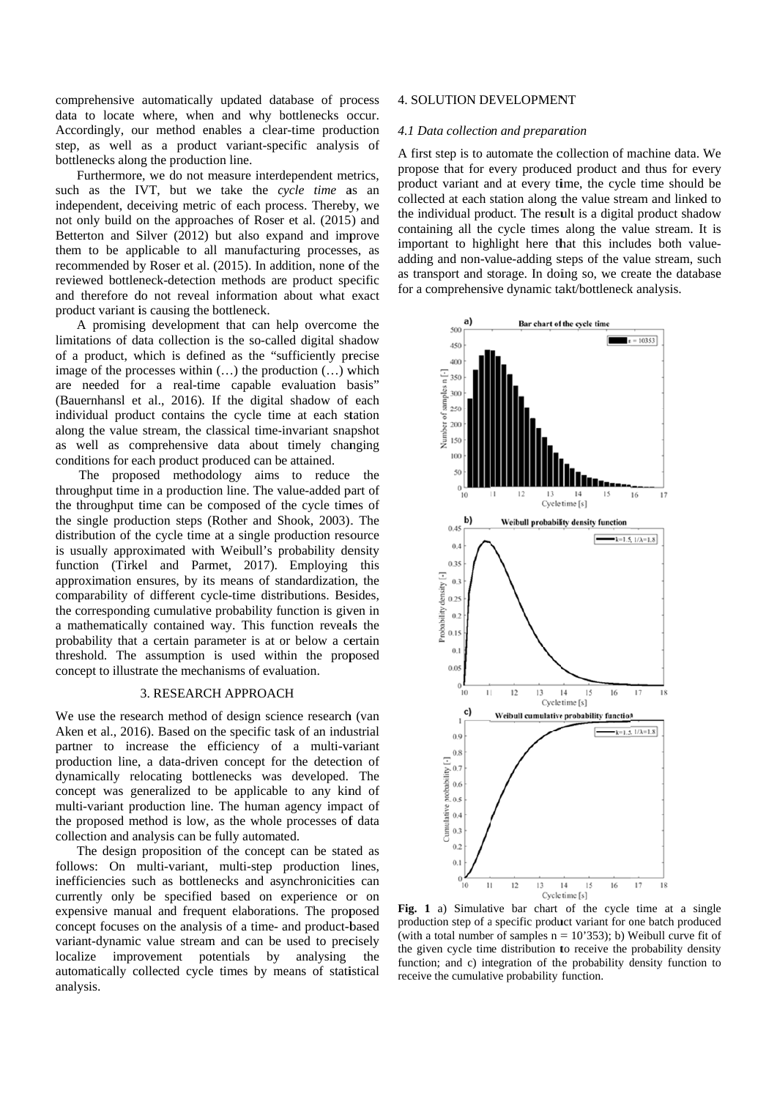comprehensive automatically updated database of process data to locate where, when and why bottlenecks occur. Accordingly, our method enables a clear-time production step, as well as a product variant-specific analysis of bottlenecks along the production line.

Furthermore, we do not measure interdependent metrics, such as the IVT, but we take the cycle time as an independent, deceiving metric of each process. Thereby, we not only build on the approaches of Roser et al. (2015) and Betterton and Silver (2012) but also expand and improve them to be applicable to all manufacturing processes, as recommended by Roser et al. (2015). In addition, none of the reviewed bottleneck-detection methods are product specific and therefore do not reveal information about what exact product variant is causing the bottleneck.

A promising development that can help overcome the limitations of data collection is the so-called digital shadow of a product, which is defined as the "sufficiently precise image of the processes within  $(...)$  the production  $(...)$  which are needed for a real-time capable evaluation basis" (Bauernhansl et al., 2016). If the digital shadow of each individual product contains the cycle time at each station along the value stream, the classical time-invariant snapshot as well as comprehensive data about timely changing conditions for each product produced can be attained.

The proposed methodology aims to reduce the throughput time in a production line. The value-added part of the throughput time can be composed of the cycle times of the single production steps (Rother and Shook, 2003). The distribution of the cycle time at a single production resource is usually approximated with Weibull's probability density function (Tirkel and Parmet, 2017). Employing this approximation ensures, by its means of standardization, the comparability of different cycle-time distributions. Besides, the corresponding cumulative probability function is given in a mathematically contained way. This function reveals the probability that a certain parameter is at or below a certain threshold. The assumption is used within the proposed concept to illustrate the mechanisms of evaluation.

# 3. RESEARCH APPROACH

We use the research method of design science research (van Aken et al., 2016). Based on the specific task of an industrial partner to increase the efficiency of a multi-variant production line, a data-driven concept for the detection of dynamically relocating bottlenecks was developed. The concept was generalized to be applicable to any kind of multi-variant production line. The human agency impact of the proposed method is low, as the whole processes of data collection and analysis can be fully automated.

The design proposition of the concept can be stated as follows: On multi-variant, multi-step production lines, inefficiencies such as bottlenecks and asynchronicities can currently only be specified based on experience or on expensive manual and frequent elaborations. The proposed concept focuses on the analysis of a time- and product-based variant-dynamic value stream and can be used to precisely localize improvement potentials by analysing the automatically collected cycle times by means of statistical analysis.

## **4. SOLUTION DEVELOPMENT**

#### 4.1 Data collection and preparation

A first step is to automate the collection of machine data. We propose that for every produced product and thus for every product variant and at every time, the cycle time should be collected at each station along the value stream and linked to the individual product. The result is a digital product shadow containing all the cycle times along the value stream. It is important to highlight here that this includes both valueadding and non-value-adding steps of the value stream, such as transport and storage. In doing so, we create the database for a comprehensive dynamic takt/bottleneck analysis.



Fig. 1 a) Simulative bar chart of the cycle time at a single production step of a specific product variant for one batch produced (with a total number of samples  $n = 10'353$ ); b) Weibull curve fit of the given cycle time distribution to receive the probability density function; and c) integration of the probability density function to receive the cumulative probability function.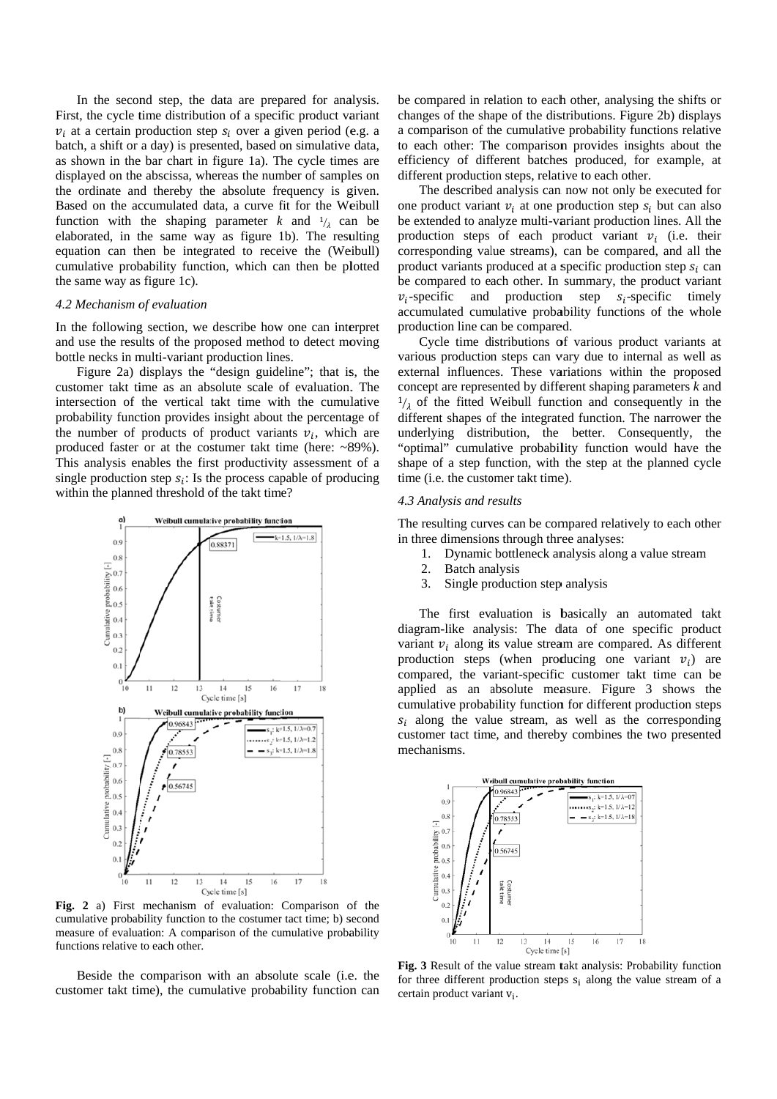In the second step, the data are prepared for analysis. First, the cycle time distribution of a specific product variant  $v_i$  at a certain production step  $s_i$  over a given period (e.g. a batch, a shift or a day) is presented, based on simulative data, as shown in the bar chart in figure 1a). The cycle times are displayed on the abscissa, whereas the number of samples on the ordinate and thereby the absolute frequency is given. Based on the accumulated data, a curve fit for the Weibull function with the shaping parameter k and  $\frac{1}{\lambda}$  can be elaborated, in the same way as figure 1b). The resulting equation can then be integrated to receive the (Weibull) cumulative probability function, which can then be plotted the same way as figure 1c).

#### 4.2 Mechanism of evaluation

In the following section, we describe how one can interpret and use the results of the proposed method to detect moving bottle necks in multi-variant production lines.

Figure 2a) displays the "design guideline"; that is, the customer takt time as an absolute scale of evaluation. The intersection of the vertical takt time with the cumulative probability function provides insight about the percentage of the number of products of product variants  $v_i$ , which are produced faster or at the costumer takt time (here: ~89%). This analysis enables the first productivity assessment of a single production step  $s_i$ : Is the process capable of producing within the planned threshold of the takt time?



Fig. 2 a) First mechanism of evaluation: Comparison of the cumulative probability function to the costumer tact time; b) second measure of evaluation: A comparison of the cumulative probability functions relative to each other.

Beside the comparison with an absolute scale (i.e. the customer takt time), the cumulative probability function can

be compared in relation to each other, analysing the shifts or changes of the shape of the distributions. Figure 2b) displays a comparison of the cumulative probability functions relative to each other: The comparison provides insights about the efficiency of different batches produced, for example, at different production steps, relative to each other.

The described analysis can now not only be executed for one product variant  $v_i$  at one production step  $s_i$  but can also be extended to analyze multi-variant production lines. All the production steps of each product variant  $v_i$  (i.e. their corresponding value streams), can be compared, and all the product variants produced at a specific production step  $s_i$  can be compared to each other. In summary, the product variant and production step  $S_i$ -specific timely  $v_i$ -specific accumulated cumulative probability functions of the whole production line can be compared.

Cycle time distributions of various product variants at various production steps can vary due to internal as well as external influences. These variations within the proposed concept are represented by different shaping parameters  $k$  and  $\frac{1}{2}$  of the fitted Weibull function and consequently in the different shapes of the integrated function. The narrower the underlying distribution, the better. Consequently, the "optimal" cumulative probability function would have the shape of a step function, with the step at the planned cycle time (i.e. the customer takt time).

#### 4.3 Analysis and results

The resulting curves can be compared relatively to each other in three dimensions through three analyses:

- Dynamic bottleneck analysis along a value stream  $\mathbf{1}$
- 2. Batch analysis
- 3. Single production step analysis

The first evaluation is basically an automated takt diagram-like analysis: The data of one specific product variant  $v_i$  along its value stream are compared. As different production steps (when producing one variant  $v_i$ ) are compared, the variant-specific customer takt time can be applied as an absolute measure. Figure 3 shows the cumulative probability function for different production steps  $s_i$  along the value stream, as well as the corresponding customer tact time, and thereby combines the two presented mechanisms.



Fig. 3 Result of the value stream takt analysis: Probability function for three different production steps  $s_i$  along the value stream of a certain product variant v<sub>i</sub>.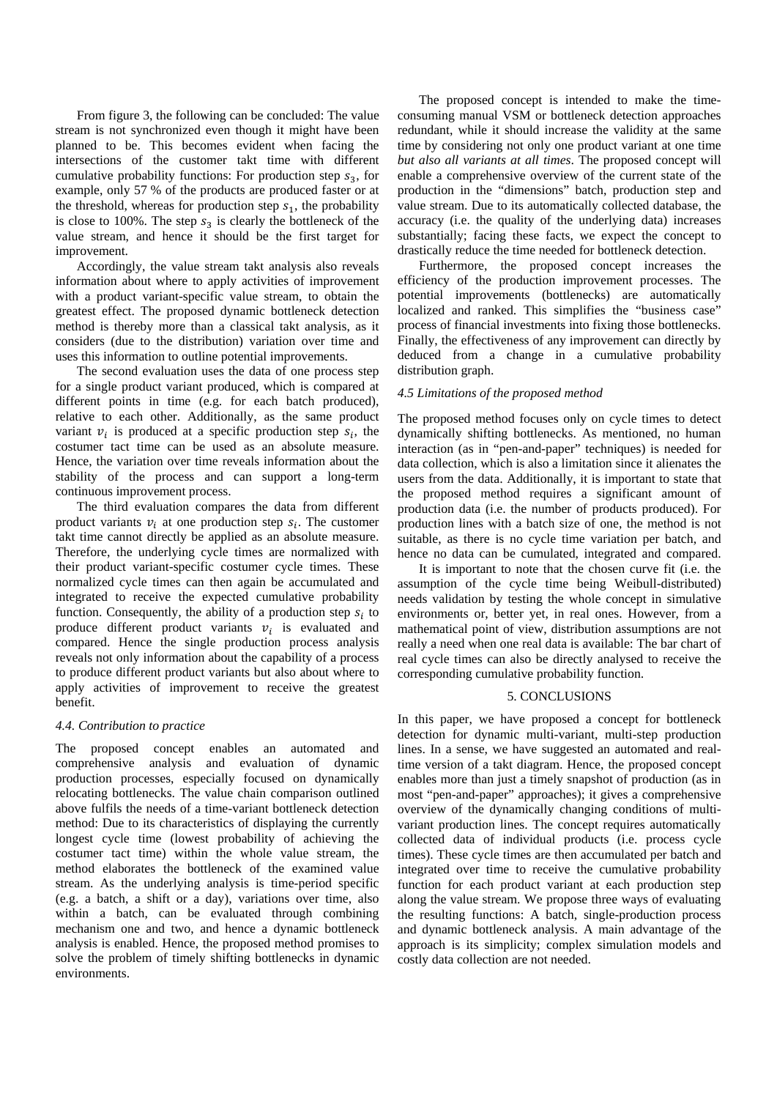From figure 3, the following can be concluded: The value stream is not synchronized even though it might have been planned to be. This becomes evident when facing the intersections of the customer takt time with different cumulative probability functions: For production step  $s_3$ , for example, only 57 % of the products are produced faster or at the threshold, whereas for production step  $s_1$ , the probability is close to 100%. The step  $s_3$  is clearly the bottleneck of the value stream, and hence it should be the first target for improvement.

 Accordingly, the value stream takt analysis also reveals information about where to apply activities of improvement with a product variant-specific value stream, to obtain the greatest effect. The proposed dynamic bottleneck detection method is thereby more than a classical takt analysis, as it considers (due to the distribution) variation over time and uses this information to outline potential improvements.

 The second evaluation uses the data of one process step for a single product variant produced, which is compared at different points in time (e.g. for each batch produced), relative to each other. Additionally, as the same product variant  $v_i$  is produced at a specific production step  $s_i$ , the costumer tact time can be used as an absolute measure. Hence, the variation over time reveals information about the stability of the process and can support a long-term continuous improvement process.

 The third evaluation compares the data from different product variants  $v_i$  at one production step  $s_i$ . The customer takt time cannot directly be applied as an absolute measure. Therefore, the underlying cycle times are normalized with their product variant-specific costumer cycle times. These normalized cycle times can then again be accumulated and integrated to receive the expected cumulative probability function. Consequently, the ability of a production step  $s_i$  to produce different product variants  $v_i$  is evaluated and compared. Hence the single production process analysis reveals not only information about the capability of a process to produce different product variants but also about where to apply activities of improvement to receive the greatest benefit.

## *4.4. Contribution to practice*

The proposed concept enables an automated and comprehensive analysis and evaluation of dynamic production processes, especially focused on dynamically relocating bottlenecks. The value chain comparison outlined above fulfils the needs of a time-variant bottleneck detection method: Due to its characteristics of displaying the currently longest cycle time (lowest probability of achieving the costumer tact time) within the whole value stream, the method elaborates the bottleneck of the examined value stream. As the underlying analysis is time-period specific (e.g. a batch, a shift or a day), variations over time, also within a batch, can be evaluated through combining mechanism one and two, and hence a dynamic bottleneck analysis is enabled. Hence, the proposed method promises to solve the problem of timely shifting bottlenecks in dynamic environments.

 The proposed concept is intended to make the timeconsuming manual VSM or bottleneck detection approaches redundant, while it should increase the validity at the same time by considering not only one product variant at one time *but also all variants at all times*. The proposed concept will enable a comprehensive overview of the current state of the production in the "dimensions" batch, production step and value stream. Due to its automatically collected database, the accuracy (i.e. the quality of the underlying data) increases substantially; facing these facts, we expect the concept to drastically reduce the time needed for bottleneck detection.

 Furthermore, the proposed concept increases the efficiency of the production improvement processes. The potential improvements (bottlenecks) are automatically localized and ranked. This simplifies the "business case" process of financial investments into fixing those bottlenecks. Finally, the effectiveness of any improvement can directly by deduced from a change in a cumulative probability distribution graph.

# *4.5 Limitations of the proposed method*

The proposed method focuses only on cycle times to detect dynamically shifting bottlenecks. As mentioned, no human interaction (as in "pen-and-paper" techniques) is needed for data collection, which is also a limitation since it alienates the users from the data. Additionally, it is important to state that the proposed method requires a significant amount of production data (i.e. the number of products produced). For production lines with a batch size of one, the method is not suitable, as there is no cycle time variation per batch, and hence no data can be cumulated, integrated and compared.

 It is important to note that the chosen curve fit (i.e. the assumption of the cycle time being Weibull-distributed) needs validation by testing the whole concept in simulative environments or, better yet, in real ones. However, from a mathematical point of view, distribution assumptions are not really a need when one real data is available: The bar chart of real cycle times can also be directly analysed to receive the corresponding cumulative probability function.

## 5. CONCLUSIONS

In this paper, we have proposed a concept for bottleneck detection for dynamic multi-variant, multi-step production lines. In a sense, we have suggested an automated and realtime version of a takt diagram. Hence, the proposed concept enables more than just a timely snapshot of production (as in most "pen-and-paper" approaches); it gives a comprehensive overview of the dynamically changing conditions of multivariant production lines. The concept requires automatically collected data of individual products (i.e. process cycle times). These cycle times are then accumulated per batch and integrated over time to receive the cumulative probability function for each product variant at each production step along the value stream. We propose three ways of evaluating the resulting functions: A batch, single-production process and dynamic bottleneck analysis. A main advantage of the approach is its simplicity; complex simulation models and costly data collection are not needed.